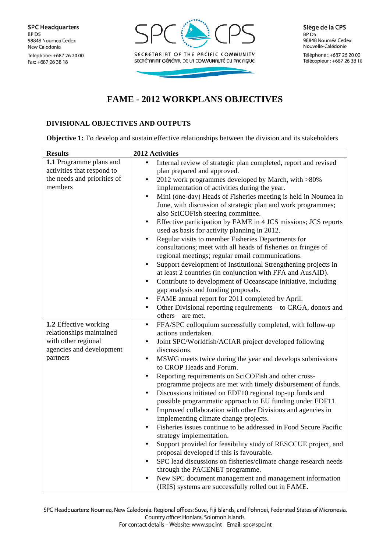

Téléphone: +687 26 20 00 Télécopieur : +687 26 38 18

## **FAME - 2012 WORKPLANS OBJECTIVES**

## **DIVISIONAL OBJECTIVES AND OUTPUTS**

**Objective 1:** To develop and sustain effective relationships between the division and its stakeholders

| <b>Results</b>              | 2012 Activities                                                              |
|-----------------------------|------------------------------------------------------------------------------|
| 1.1 Programme plans and     | Internal review of strategic plan completed, report and revised              |
| activities that respond to  | plan prepared and approved.                                                  |
| the needs and priorities of | 2012 work programmes developed by March, with >80%<br>$\bullet$              |
| members                     | implementation of activities during the year.                                |
|                             | Mini (one-day) Heads of Fisheries meeting is held in Noumea in<br>$\bullet$  |
|                             | June, with discussion of strategic plan and work programmes;                 |
|                             | also SciCOFish steering committee.                                           |
|                             | Effective participation by FAME in 4 JCS missions; JCS reports<br>٠          |
|                             | used as basis for activity planning in 2012.                                 |
|                             | Regular visits to member Fisheries Departments for<br>$\bullet$              |
|                             | consultations; meet with all heads of fisheries on fringes of                |
|                             | regional meetings; regular email communications.                             |
|                             | Support development of Institutional Strengthening projects in<br>$\bullet$  |
|                             | at least 2 countries (in conjunction with FFA and AusAID).                   |
|                             | Contribute to development of Oceanscape initiative, including<br>$\bullet$   |
|                             | gap analysis and funding proposals.                                          |
|                             | FAME annual report for 2011 completed by April.<br>$\bullet$                 |
|                             | Other Divisional reporting requirements – to CRGA, donors and<br>$\bullet$   |
|                             | others – are met.                                                            |
| 1.2 Effective working       | FFA/SPC colloquium successfully completed, with follow-up<br>$\bullet$       |
| relationships maintained    | actions undertaken.                                                          |
| with other regional         | Joint SPC/Worldfish/ACIAR project developed following<br>$\bullet$           |
| agencies and development    | discussions.                                                                 |
| partners                    | MSWG meets twice during the year and develops submissions<br>$\bullet$       |
|                             | to CROP Heads and Forum.                                                     |
|                             | Reporting requirements on SciCOFish and other cross-<br>$\bullet$            |
|                             | programme projects are met with timely disbursement of funds.                |
|                             | Discussions initiated on EDF10 regional top-up funds and<br>$\bullet$        |
|                             | possible programmatic approach to EU funding under EDF11.                    |
|                             | Improved collaboration with other Divisions and agencies in<br>$\bullet$     |
|                             | implementing climate change projects.                                        |
|                             | Fisheries issues continue to be addressed in Food Secure Pacific<br>٠        |
|                             | strategy implementation.                                                     |
|                             | Support provided for feasibility study of RESCCUE project, and<br>$\bullet$  |
|                             | proposal developed if this is favourable.                                    |
|                             | SPC lead discussions on fisheries/climate change research needs<br>$\bullet$ |
|                             | through the PACENET programme.                                               |
|                             | New SPC document management and management information                       |
|                             | (IRIS) systems are successfully rolled out in FAME.                          |

SPC Headquarters: Noumea, New Caledonia. Regional offices: Suva, Fiji Islands, and Pohnpei, Federated States of Micronesia. Country office: Honiara, Solomon Islands.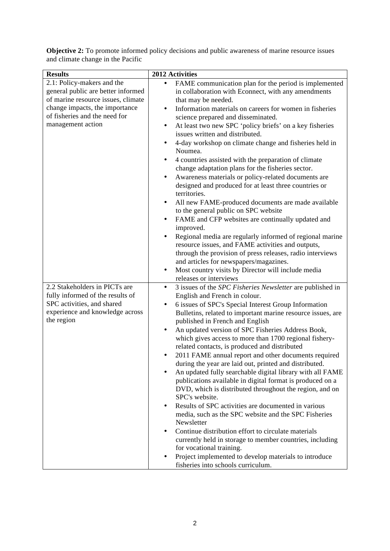| <b>Results</b>                                | 2012 Activities                                                                                |
|-----------------------------------------------|------------------------------------------------------------------------------------------------|
| 2.1: Policy-makers and the                    | FAME communication plan for the period is implemented<br>$\bullet$                             |
| general public are better informed            | in collaboration with Econnect, with any amendments                                            |
| of marine resource issues, climate            | that may be needed.                                                                            |
| change impacts, the importance                | Information materials on careers for women in fisheries<br>$\bullet$                           |
| of fisheries and the need for                 | science prepared and disseminated.                                                             |
| management action                             | At least two new SPC 'policy briefs' on a key fisheries<br>٠                                   |
|                                               | issues written and distributed.                                                                |
|                                               | 4-day workshop on climate change and fisheries held in<br>$\bullet$                            |
|                                               | Noumea.                                                                                        |
|                                               | 4 countries assisted with the preparation of climate<br>$\bullet$                              |
|                                               | change adaptation plans for the fisheries sector.                                              |
|                                               | Awareness materials or policy-related documents are<br>٠                                       |
|                                               | designed and produced for at least three countries or                                          |
|                                               | territories.                                                                                   |
|                                               | All new FAME-produced documents are made available<br>$\bullet$                                |
|                                               | to the general public on SPC website                                                           |
|                                               | FAME and CFP websites are continually updated and                                              |
|                                               | improved.                                                                                      |
|                                               | Regional media are regularly informed of regional marine<br>$\bullet$                          |
|                                               | resource issues, and FAME activities and outputs,                                              |
|                                               | through the provision of press releases, radio interviews                                      |
|                                               | and articles for newspapers/magazines.                                                         |
|                                               | Most country visits by Director will include media<br>$\bullet$                                |
|                                               | releases or interviews                                                                         |
| 2.2 Stakeholders in PICTs are                 | 3 issues of the SPC Fisheries Newsletter are published in<br>$\bullet$                         |
| fully informed of the results of              | English and French in colour.                                                                  |
| SPC activities, and shared                    | 6 issues of SPC's Special Interest Group Information                                           |
| experience and knowledge across<br>the region | Bulletins, related to important marine resource issues, are<br>published in French and English |
|                                               | An updated version of SPC Fisheries Address Book,<br>٠                                         |
|                                               | which gives access to more than 1700 regional fishery-                                         |
|                                               | related contacts, is produced and distributed                                                  |
|                                               | 2011 FAME annual report and other documents required                                           |
|                                               | during the year are laid out, printed and distributed.                                         |
|                                               | An updated fully searchable digital library with all FAME                                      |
|                                               | publications available in digital format is produced on a                                      |
|                                               | DVD, which is distributed throughout the region, and on                                        |
|                                               | SPC's website.                                                                                 |
|                                               | Results of SPC activities are documented in various<br>$\bullet$                               |
|                                               | media, such as the SPC website and the SPC Fisheries                                           |
|                                               | Newsletter                                                                                     |
|                                               | Continue distribution effort to circulate materials                                            |
|                                               | currently held in storage to member countries, including                                       |
|                                               | for vocational training.                                                                       |
|                                               | Project implemented to develop materials to introduce                                          |
|                                               | fisheries into schools curriculum.                                                             |

**Objective 2:** To promote informed policy decisions and public awareness of marine resource issues and climate change in the Pacific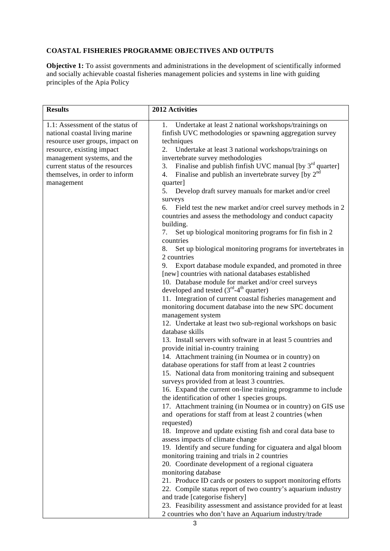## **COASTAL FISHERIES PROGRAMME OBJECTIVES AND OUTPUTS**

**Objective 1:** To assist governments and administrations in the development of scientifically informed and socially achievable coastal fisheries management policies and systems in line with guiding principles of the Apia Policy

| <b>Results</b>                                                                                                                                                                                                                                       | 2012 Activities                                                                                                                                                                                                                                                                                                                                                                                                                                                                                                                                                                                                                                                                                                                                                                                                                                                                                                                                                                                                                                                                                                                                                                                                                                                                                                                                                                                                                                                                                                                                                                                                                                                                                                                                                                                                                                                                                                                                                                                                                                                                                                                                                                                                                                                                                                                                                                                                                                         |
|------------------------------------------------------------------------------------------------------------------------------------------------------------------------------------------------------------------------------------------------------|---------------------------------------------------------------------------------------------------------------------------------------------------------------------------------------------------------------------------------------------------------------------------------------------------------------------------------------------------------------------------------------------------------------------------------------------------------------------------------------------------------------------------------------------------------------------------------------------------------------------------------------------------------------------------------------------------------------------------------------------------------------------------------------------------------------------------------------------------------------------------------------------------------------------------------------------------------------------------------------------------------------------------------------------------------------------------------------------------------------------------------------------------------------------------------------------------------------------------------------------------------------------------------------------------------------------------------------------------------------------------------------------------------------------------------------------------------------------------------------------------------------------------------------------------------------------------------------------------------------------------------------------------------------------------------------------------------------------------------------------------------------------------------------------------------------------------------------------------------------------------------------------------------------------------------------------------------------------------------------------------------------------------------------------------------------------------------------------------------------------------------------------------------------------------------------------------------------------------------------------------------------------------------------------------------------------------------------------------------------------------------------------------------------------------------------------------------|
| 1.1: Assessment of the status of<br>national coastal living marine<br>resource user groups, impact on<br>resource, existing impact<br>management systems, and the<br>current status of the resources<br>themselves, in order to inform<br>management | Undertake at least 2 national workshops/trainings on<br>1.<br>finfish UVC methodologies or spawning aggregation survey<br>techniques<br>Undertake at least 3 national workshops/trainings on<br>2.<br>invertebrate survey methodologies<br>Finalise and publish finfish UVC manual [by 3 <sup>rd</sup> quarter]<br>3.<br>Finalise and publish an invertebrate survey [by $2^{nd}$<br>4.<br>quarter]<br>5.<br>Develop draft survey manuals for market and/or creel<br>surveys<br>6.<br>Field test the new market and/or creel survey methods in 2<br>countries and assess the methodology and conduct capacity<br>building.<br>Set up biological monitoring programs for fin fish in 2<br>7.<br>countries<br>Set up biological monitoring programs for invertebrates in<br>8.<br>2 countries<br>Export database module expanded, and promoted in three<br>9.<br>[new] countries with national databases established<br>10. Database module for market and/or creel surveys<br>developed and tested $(3rd-4th$ quarter)<br>11. Integration of current coastal fisheries management and<br>monitoring document database into the new SPC document<br>management system<br>12. Undertake at least two sub-regional workshops on basic<br>database skills<br>13. Install servers with software in at least 5 countries and<br>provide initial in-country training<br>14. Attachment training (in Noumea or in country) on<br>database operations for staff from at least 2 countries<br>15. National data from monitoring training and subsequent<br>surveys provided from at least 3 countries.<br>16. Expand the current on-line training programme to include<br>the identification of other 1 species groups.<br>17. Attachment training (in Noumea or in country) on GIS use<br>and operations for staff from at least 2 countries (when<br>requested)<br>18. Improve and update existing fish and coral data base to<br>assess impacts of climate change<br>19. Identify and secure funding for ciguatera and algal bloom<br>monitoring training and trials in 2 countries<br>20. Coordinate development of a regional ciguatera<br>monitoring database<br>21. Produce ID cards or posters to support monitoring efforts<br>22. Compile status report of two country's aquarium industry<br>and trade [categorise fishery]<br>23. Feasibility assessment and assistance provided for at least<br>2 countries who don't have an Aquarium industry/trade |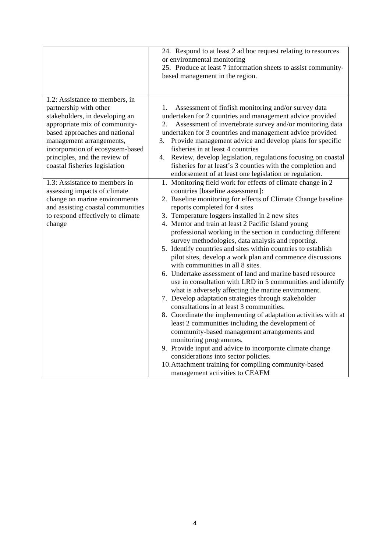|                                                                                                                                                                                                                                                                                                | 24. Respond to at least 2 ad hoc request relating to resources<br>or environmental monitoring<br>25. Produce at least 7 information sheets to assist community-<br>based management in the region.                                                                                                                                                                                                                                                                                                                                                                                                                                                                                                                                                                                                                                                                                                                                                                                                                                                                                                                                                                                                                                                                                       |
|------------------------------------------------------------------------------------------------------------------------------------------------------------------------------------------------------------------------------------------------------------------------------------------------|------------------------------------------------------------------------------------------------------------------------------------------------------------------------------------------------------------------------------------------------------------------------------------------------------------------------------------------------------------------------------------------------------------------------------------------------------------------------------------------------------------------------------------------------------------------------------------------------------------------------------------------------------------------------------------------------------------------------------------------------------------------------------------------------------------------------------------------------------------------------------------------------------------------------------------------------------------------------------------------------------------------------------------------------------------------------------------------------------------------------------------------------------------------------------------------------------------------------------------------------------------------------------------------|
| 1.2: Assistance to members, in<br>partnership with other<br>stakeholders, in developing an<br>appropriate mix of community-<br>based approaches and national<br>management arrangements,<br>incorporation of ecosystem-based<br>principles, and the review of<br>coastal fisheries legislation | Assessment of finfish monitoring and/or survey data<br>1.<br>undertaken for 2 countries and management advice provided<br>Assessment of invertebrate survey and/or monitoring data<br>2.<br>undertaken for 3 countries and management advice provided<br>Provide management advice and develop plans for specific<br>3.<br>fisheries in at least 4 countries<br>4. Review, develop legislation, regulations focusing on coastal<br>fisheries for at least's 3 counties with the completion and<br>endorsement of at least one legislation or regulation.                                                                                                                                                                                                                                                                                                                                                                                                                                                                                                                                                                                                                                                                                                                                 |
| 1.3: Assistance to members in<br>assessing impacts of climate<br>change on marine environments<br>and assisting coastal communities<br>to respond effectively to climate<br>change                                                                                                             | 1. Monitoring field work for effects of climate change in 2<br>countries [baseline assessment]:<br>2. Baseline monitoring for effects of Climate Change baseline<br>reports completed for 4 sites<br>3. Temperature loggers installed in 2 new sites<br>4. Mentor and train at least 2 Pacific Island young<br>professional working in the section in conducting different<br>survey methodologies, data analysis and reporting.<br>5. Identify countries and sites within countries to establish<br>pilot sites, develop a work plan and commence discussions<br>with communities in all 8 sites.<br>6. Undertake assessment of land and marine based resource<br>use in consultation with LRD in 5 communities and identify<br>what is adversely affecting the marine environment.<br>7. Develop adaptation strategies through stakeholder<br>consultations in at least 3 communities.<br>8. Coordinate the implementing of adaptation activities with at<br>least 2 communities including the development of<br>community-based management arrangements and<br>monitoring programmes.<br>9. Provide input and advice to incorporate climate change<br>considerations into sector policies.<br>10. Attachment training for compiling community-based<br>management activities to CEAFM |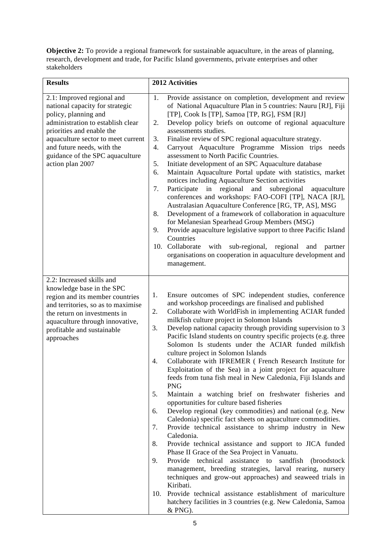**Objective 2:** To provide a regional framework for sustainable aquaculture, in the areas of planning, research, development and trade, for Pacific Island governments, private enterprises and other stakeholders

| <b>Results</b>                                                                                                                                                                                                                                                                     | 2012 Activities                                                                                                                                                                                                                                                                                                                                                                                                                                                                                                                                                                                                                                                                                                                                                                                                                                                                                                                                                                                                                                                                                                                                                                                                                                                                                                                                                                                                                                                                                    |
|------------------------------------------------------------------------------------------------------------------------------------------------------------------------------------------------------------------------------------------------------------------------------------|----------------------------------------------------------------------------------------------------------------------------------------------------------------------------------------------------------------------------------------------------------------------------------------------------------------------------------------------------------------------------------------------------------------------------------------------------------------------------------------------------------------------------------------------------------------------------------------------------------------------------------------------------------------------------------------------------------------------------------------------------------------------------------------------------------------------------------------------------------------------------------------------------------------------------------------------------------------------------------------------------------------------------------------------------------------------------------------------------------------------------------------------------------------------------------------------------------------------------------------------------------------------------------------------------------------------------------------------------------------------------------------------------------------------------------------------------------------------------------------------------|
| 2.1: Improved regional and<br>national capacity for strategic<br>policy, planning and<br>administration to establish clear<br>priorities and enable the<br>aquaculture sector to meet current<br>and future needs, with the<br>guidance of the SPC aquaculture<br>action plan 2007 | Provide assistance on completion, development and review<br>1.<br>of National Aquaculture Plan in 5 countries: Nauru [RJ], Fiji<br>[TP], Cook Is [TP], Samoa [TP, RG], FSM [RJ]<br>Develop policy briefs on outcome of regional aquaculture<br>2.<br>assessments studies.<br>Finalise review of SPC regional aquaculture strategy.<br>3.<br>Carryout Aquaculture Programme Mission trips<br>4.<br>needs<br>assessment to North Pacific Countries.<br>Initiate development of an SPC Aquaculture database<br>5.<br>Maintain Aquaculture Portal update with statistics, market<br>6.<br>notices including Aquaculture Section activities<br>Participate<br>in regional and subregional<br>7.<br>aquaculture<br>conferences and workshops: FAO-COFI [TP], NACA [RJ],<br>Australasian Aquaculture Conference [RG, TP, AS], MSG<br>Development of a framework of collaboration in aquaculture<br>8.<br>for Melanesian Spearhead Group Members (MSG)<br>Provide aquaculture legislative support to three Pacific Island<br>9.<br>Countries<br>10. Collaborate<br>with<br>sub-regional, regional<br>and<br>partner<br>organisations on cooperation in aquaculture development and<br>management.                                                                                                                                                                                                                                                                                                          |
| 2.2: Increased skills and<br>knowledge base in the SPC<br>region and its member countries<br>and territories, so as to maximise<br>the return on investments in<br>aquaculture through innovative,<br>profitable and sustainable<br>approaches                                     | Ensure outcomes of SPC independent studies, conference<br>1.<br>and workshop proceedings are finalised and published<br>Collaborate with WorldFish in implementing ACIAR funded<br>2.<br>milkfish culture project in Solomon Islands<br>Develop national capacity through providing supervision to 3<br>3.<br>Pacific Island students on country specific projects (e.g. three<br>Solomon Is students under the ACIAR funded milkfish<br>culture project in Solomon Islands<br>Collaborate with IFREMER (French Research Institute for<br>4.<br>Exploitation of the Sea) in a joint project for aquaculture<br>feeds from tuna fish meal in New Caledonia, Fiji Islands and<br><b>PNG</b><br>Maintain a watching brief on freshwater fisheries and<br>5.<br>opportunities for culture based fisheries<br>Develop regional (key commodities) and national (e.g. New<br>6.<br>Caledonia) specific fact sheets on aquaculture commodities.<br>Provide technical assistance to shrimp industry in New<br>7.<br>Caledonia.<br>Provide technical assistance and support to JICA funded<br>8.<br>Phase II Grace of the Sea Project in Vanuatu.<br>Provide technical assistance to<br>sandfish<br>9.<br>(broodstock)<br>management, breeding strategies, larval rearing, nursery<br>techniques and grow-out approaches) and seaweed trials in<br>Kiribati.<br>Provide technical assistance establishment of mariculture<br>10.<br>hatchery facilities in 3 countries (e.g. New Caledonia, Samoa<br>& PNG). |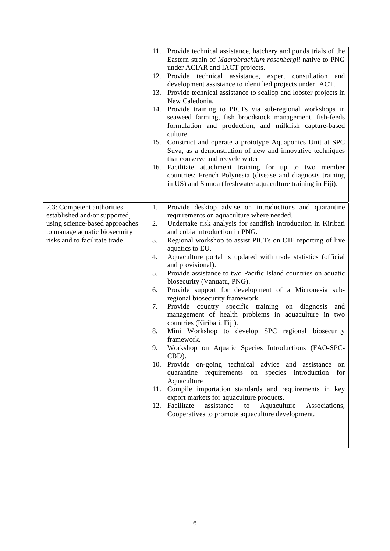|                                                                                                                                                                 | 12.<br>15.<br>16.                                         | 11. Provide technical assistance, hatchery and ponds trials of the<br>Eastern strain of Macrobrachium rosenbergii native to PNG<br>under ACIAR and IACT projects.<br>Provide technical assistance, expert consultation and<br>development assistance to identified projects under IACT.<br>13. Provide technical assistance to scallop and lobster projects in<br>New Caledonia.<br>14. Provide training to PICTs via sub-regional workshops in<br>seaweed farming, fish broodstock management, fish-feeds<br>formulation and production, and milkfish capture-based<br>culture<br>Construct and operate a prototype Aquaponics Unit at SPC<br>Suva, as a demonstration of new and innovative techniques<br>that conserve and recycle water<br>Facilitate attachment training for up to two member<br>countries: French Polynesia (disease and diagnosis training<br>in US) and Samoa (freshwater aquaculture training in Fiji).                                                                                                                                                                                                                                                                                                          |
|-----------------------------------------------------------------------------------------------------------------------------------------------------------------|-----------------------------------------------------------|-------------------------------------------------------------------------------------------------------------------------------------------------------------------------------------------------------------------------------------------------------------------------------------------------------------------------------------------------------------------------------------------------------------------------------------------------------------------------------------------------------------------------------------------------------------------------------------------------------------------------------------------------------------------------------------------------------------------------------------------------------------------------------------------------------------------------------------------------------------------------------------------------------------------------------------------------------------------------------------------------------------------------------------------------------------------------------------------------------------------------------------------------------------------------------------------------------------------------------------------|
| 2.3: Competent authorities<br>established and/or supported,<br>using science-based approaches<br>to manage aquatic biosecurity<br>risks and to facilitate trade | 1.<br>2.<br>3.<br>4.<br>5.<br>6.<br>7.<br>8.<br>9.<br>10. | Provide desktop advise on introductions and quarantine<br>requirements on aquaculture where needed.<br>Undertake risk analysis for sandfish introduction in Kiribati<br>and cobia introduction in PNG.<br>Regional workshop to assist PICTs on OIE reporting of live<br>aquatics to EU.<br>Aquaculture portal is updated with trade statistics (official<br>and provisional).<br>Provide assistance to two Pacific Island countries on aquatic<br>biosecurity (Vanuatu, PNG).<br>Provide support for development of a Micronesia sub-<br>regional biosecurity framework.<br>Provide country specific training<br>diagnosis<br>on<br>and<br>management of health problems in aquaculture in two<br>countries (Kiribati, Fiji).<br>Mini Workshop to develop SPC regional biosecurity<br>framework.<br>Workshop on Aquatic Species Introductions (FAO-SPC-<br>CBD).<br>Provide on-going technical advice and assistance<br>on<br>quarantine requirements<br>on species introduction<br>for<br>Aquaculture<br>11. Compile importation standards and requirements in key<br>export markets for aquaculture products.<br>12. Facilitate<br>assistance<br>Aquaculture<br>Associations,<br>to<br>Cooperatives to promote aquaculture development. |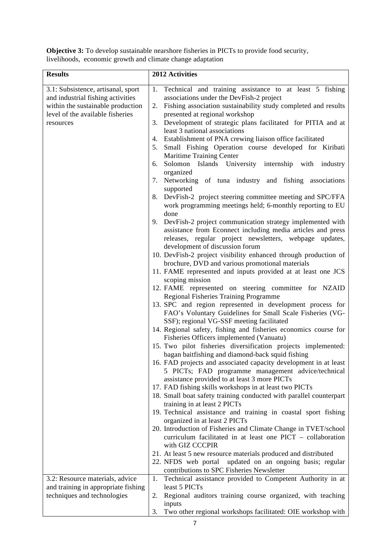| <b>Results</b>                                                                                                                                                | 2012 Activities                                                                                                                                                                                                                                                                                                                                                                                                                                                                                                                                                                                                                                                                                                                                                                                                                                                                                                                                                                                                                                                                                                                                                                                                                                                                                                                                                                                                                                                                                                                                                                                                                                                                                                                                                                                                                                                                                                                                                                                                                                                                                                                                                                                                                                                                                                                                                                                                                                         |
|---------------------------------------------------------------------------------------------------------------------------------------------------------------|---------------------------------------------------------------------------------------------------------------------------------------------------------------------------------------------------------------------------------------------------------------------------------------------------------------------------------------------------------------------------------------------------------------------------------------------------------------------------------------------------------------------------------------------------------------------------------------------------------------------------------------------------------------------------------------------------------------------------------------------------------------------------------------------------------------------------------------------------------------------------------------------------------------------------------------------------------------------------------------------------------------------------------------------------------------------------------------------------------------------------------------------------------------------------------------------------------------------------------------------------------------------------------------------------------------------------------------------------------------------------------------------------------------------------------------------------------------------------------------------------------------------------------------------------------------------------------------------------------------------------------------------------------------------------------------------------------------------------------------------------------------------------------------------------------------------------------------------------------------------------------------------------------------------------------------------------------------------------------------------------------------------------------------------------------------------------------------------------------------------------------------------------------------------------------------------------------------------------------------------------------------------------------------------------------------------------------------------------------------------------------------------------------------------------------------------------------|
| 3.1: Subsistence, artisanal, sport<br>and industrial fishing activities<br>within the sustainable production<br>level of the available fisheries<br>resources | Technical and training assistance to at least 5 fishing<br>1.<br>associations under the DevFish-2 project<br>2. Fishing association sustainability study completed and results<br>presented at regional workshop<br>3. Development of strategic plans facilitated for PITIA and at<br>least 3 national associations<br>4. Establishment of PNA crewing liaison office facilitated<br>Small Fishing Operation course developed for Kiribati<br>5.<br>Maritime Training Center<br>Solomon Islands University internship with industry<br>6.<br>organized<br>7. Networking of tuna industry and fishing associations<br>supported<br>8. DevFish-2 project steering committee meeting and SPC/FFA<br>work programming meetings held; 6-monthly reporting to EU<br>done<br>DevFish-2 project communication strategy implemented with<br>9.<br>assistance from Econnect including media articles and press<br>releases, regular project newsletters, webpage updates,<br>development of discussion forum<br>10. DevFish-2 project visibility enhanced through production of<br>brochure, DVD and various promotional materials<br>11. FAME represented and inputs provided at at least one JCS<br>scoping mission<br>12. FAME represented on steering committee for NZAID<br>Regional Fisheries Training Programme<br>13. SPC and region represented in development process for<br>FAO's Voluntary Guidelines for Small Scale Fisheries (VG-<br>SSF); regional VG-SSF meeting facilitated<br>14. Regional safety, fishing and fisheries economics course for<br>Fisheries Officers implemented (Vanuatu)<br>15. Two pilot fisheries diversification projects implemented:<br>bagan baitfishing and diamond-back squid fishing<br>16. FAD projects and associated capacity development in at least<br>5 PICTs; FAD programme management advice/technical<br>assistance provided to at least 3 more PICTs<br>17. FAD fishing skills workshops in at least two PICTs<br>18. Small boat safety training conducted with parallel counterpart<br>training in at least 2 PICTs<br>19. Technical assistance and training in coastal sport fishing<br>organized in at least 2 PICTs<br>20. Introduction of Fisheries and Climate Change in TVET/school<br>curriculum facilitated in at least one PICT - collaboration<br>with GIZ CCCPIR<br>21. At least 5 new resource materials produced and distributed<br>22. NFDS web portal updated on an ongoing basis; regular |
| 3.2: Resource materials, advice                                                                                                                               | contributions to SPC Fisheries Newsletter<br>Technical assistance provided to Competent Authority in at<br>1.                                                                                                                                                                                                                                                                                                                                                                                                                                                                                                                                                                                                                                                                                                                                                                                                                                                                                                                                                                                                                                                                                                                                                                                                                                                                                                                                                                                                                                                                                                                                                                                                                                                                                                                                                                                                                                                                                                                                                                                                                                                                                                                                                                                                                                                                                                                                           |
| and training in appropriate fishing                                                                                                                           | least 5 PICTs                                                                                                                                                                                                                                                                                                                                                                                                                                                                                                                                                                                                                                                                                                                                                                                                                                                                                                                                                                                                                                                                                                                                                                                                                                                                                                                                                                                                                                                                                                                                                                                                                                                                                                                                                                                                                                                                                                                                                                                                                                                                                                                                                                                                                                                                                                                                                                                                                                           |
| techniques and technologies                                                                                                                                   | 2. Regional auditors training course organized, with teaching                                                                                                                                                                                                                                                                                                                                                                                                                                                                                                                                                                                                                                                                                                                                                                                                                                                                                                                                                                                                                                                                                                                                                                                                                                                                                                                                                                                                                                                                                                                                                                                                                                                                                                                                                                                                                                                                                                                                                                                                                                                                                                                                                                                                                                                                                                                                                                                           |
|                                                                                                                                                               | inputs                                                                                                                                                                                                                                                                                                                                                                                                                                                                                                                                                                                                                                                                                                                                                                                                                                                                                                                                                                                                                                                                                                                                                                                                                                                                                                                                                                                                                                                                                                                                                                                                                                                                                                                                                                                                                                                                                                                                                                                                                                                                                                                                                                                                                                                                                                                                                                                                                                                  |
|                                                                                                                                                               | Two other regional workshops facilitated: OIE workshop with<br>3.                                                                                                                                                                                                                                                                                                                                                                                                                                                                                                                                                                                                                                                                                                                                                                                                                                                                                                                                                                                                                                                                                                                                                                                                                                                                                                                                                                                                                                                                                                                                                                                                                                                                                                                                                                                                                                                                                                                                                                                                                                                                                                                                                                                                                                                                                                                                                                                       |

**Objective 3:** To develop sustainable nearshore fisheries in PICTs to provide food security, livelihoods, economic growth and climate change adaptation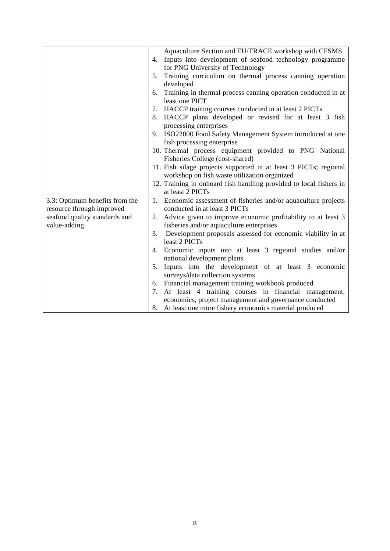|                                | Aquaculture Section and EU/TRACE workshop with CFSMS                                      |
|--------------------------------|-------------------------------------------------------------------------------------------|
|                                | 4. Inputs into development of seafood technology programme                                |
|                                | for PNG University of Technology                                                          |
|                                | Training curriculum on thermal process canning operation<br>5.                            |
|                                | developed                                                                                 |
|                                | Training in thermal process canning operation conducted in at<br>6.<br>least one PICT     |
|                                | 7. HACCP training courses conducted in at least 2 PICTs                                   |
|                                | 8. HACCP plans developed or revised for at least 3 fish<br>processing enterprises         |
|                                | 9. ISO22000 Food Safety Management System introduced at one<br>fish processing enterprise |
|                                | 10. Thermal process equipment provided to PNG National                                    |
|                                | Fisheries College (cost-shared)                                                           |
|                                | 11. Fish silage projects supported in at least 3 PICTs; regional                          |
|                                | workshop on fish waste utilization organized                                              |
|                                | 12. Training in onboard fish handling provided to local fishers in                        |
|                                | at least 2 PICTs                                                                          |
| 3.3: Optimum benefits from the | 1. Economic assessment of fisheries and/or aquaculture projects                           |
| resource through improved      | conducted in at least 3 PICTs                                                             |
| seafood quality standards and  | 2. Advice given to improve economic profitability to at least 3                           |
| value-adding                   | fisheries and/or aquaculture enterprises                                                  |
|                                | Development proposals assessed for economic viability in at<br>3.                         |
|                                | least 2 PICTs                                                                             |
|                                | 4. Economic inputs into at least 3 regional studies and/or                                |
|                                | national development plans<br>5.                                                          |
|                                | Inputs into the development of at least 3 economic<br>surveys/data collection systems     |
|                                | 6. Financial management training workbook produced                                        |
|                                | At least 4 training courses in financial management,<br>7.                                |
|                                | economics, project management and governance conducted                                    |
|                                | 8. At least one more fishery economics material produced                                  |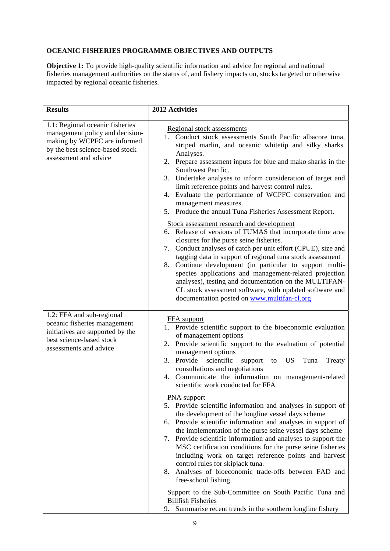## **OCEANIC FISHERIES PROGRAMME OBJECTIVES AND OUTPUTS**

**Objective 1:** To provide high-quality scientific information and advice for regional and national fisheries management authorities on the status of, and fishery impacts on, stocks targeted or otherwise impacted by regional oceanic fisheries.

| Regional stock assessments<br>1. Conduct stock assessments South Pacific albacore tuna,<br>striped marlin, and oceanic whitetip and silky sharks.<br>Analyses.<br>2. Prepare assessment inputs for blue and mako sharks in the<br>Southwest Pacific.<br>Undertake analyses to inform consideration of target and<br>limit reference points and harvest control rules.<br>4. Evaluate the performance of WCPFC conservation and<br>management measures.<br>5. Produce the annual Tuna Fisheries Assessment Report.<br>Stock assessment research and development |
|----------------------------------------------------------------------------------------------------------------------------------------------------------------------------------------------------------------------------------------------------------------------------------------------------------------------------------------------------------------------------------------------------------------------------------------------------------------------------------------------------------------------------------------------------------------|
|                                                                                                                                                                                                                                                                                                                                                                                                                                                                                                                                                                |
| 6. Release of versions of TUMAS that incorporate time area<br>closures for the purse seine fisheries.<br>Conduct analyses of catch per unit effort (CPUE), size and<br>7.<br>tagging data in support of regional tuna stock assessment<br>Continue development (in particular to support multi-<br>species applications and management-related projection<br>analyses), testing and documentation on the MULTIFAN-<br>CL stock assessment software, with updated software and<br>documentation posted on www.multifan-cl.org                                   |
| FFA support<br>1. Provide scientific support to the bioeconomic evaluation<br>of management options<br>2. Provide scientific support to the evaluation of potential<br>management options<br>3. Provide<br>scientific<br>US<br>Tuna<br>support<br>Treaty<br>to<br>consultations and negotiations<br>4. Communicate the information on management-related<br>scientific work conducted for FFA                                                                                                                                                                  |
| PNA support<br>5. Provide scientific information and analyses in support of<br>the development of the longline vessel days scheme<br>Provide scientific information and analyses in support of<br>the implementation of the purse seine vessel days scheme<br>7. Provide scientific information and analyses to support the<br>MSC certification conditions for the purse seine fisheries                                                                                                                                                                      |
|                                                                                                                                                                                                                                                                                                                                                                                                                                                                                                                                                                |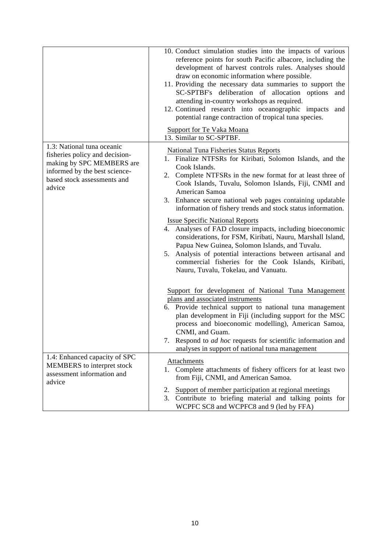|                                                                                                                                                                     | 10. Conduct simulation studies into the impacts of various<br>reference points for south Pacific albacore, including the<br>development of harvest controls rules. Analyses should<br>draw on economic information where possible.<br>11. Providing the necessary data summaries to support the<br>SC-SPTBF's deliberation of allocation options<br>and<br>attending in-country workshops as required.<br>12. Continued research into oceanographic impacts<br>and<br>potential range contraction of tropical tuna species.<br>Support for Te Vaka Moana<br>13. Similar to SC-SPTBF. |
|---------------------------------------------------------------------------------------------------------------------------------------------------------------------|--------------------------------------------------------------------------------------------------------------------------------------------------------------------------------------------------------------------------------------------------------------------------------------------------------------------------------------------------------------------------------------------------------------------------------------------------------------------------------------------------------------------------------------------------------------------------------------|
| 1.3: National tuna oceanic<br>fisheries policy and decision-<br>making by SPC MEMBERS are<br>informed by the best science-<br>based stock assessments and<br>advice | <b>National Tuna Fisheries Status Reports</b><br>1. Finalize NTFSRs for Kiribati, Solomon Islands, and the<br>Cook Islands.<br>2. Complete NTFSRs in the new format for at least three of<br>Cook Islands, Tuvalu, Solomon Islands, Fiji, CNMI and<br>American Samoa<br>3. Enhance secure national web pages containing updatable<br>information of fishery trends and stock status information.                                                                                                                                                                                     |
|                                                                                                                                                                     | <b>Issue Specific National Reports</b><br>4. Analyses of FAD closure impacts, including bioeconomic<br>considerations, for FSM, Kiribati, Nauru, Marshall Island,<br>Papua New Guinea, Solomon Islands, and Tuvalu.<br>Analysis of potential interactions between artisanal and<br>5.<br>commercial fisheries for the Cook Islands, Kiribati,<br>Nauru, Tuvalu, Tokelau, and Vanuatu.                                                                                                                                                                                                |
|                                                                                                                                                                     | Support for development of National Tuna Management<br>plans and associated instruments<br>6. Provide technical support to national tuna management<br>plan development in Fiji (including support for the MSC<br>process and bioeconomic modelling), American Samoa,<br>CNMI, and Guam.<br>7. Respond to <i>ad hoc</i> requests for scientific information and<br>analyses in support of national tuna management                                                                                                                                                                   |
| 1.4: Enhanced capacity of SPC<br>MEMBERS to interpret stock<br>assessment information and<br>advice                                                                 | Attachments<br>1. Complete attachments of fishery officers for at least two<br>from Fiji, CNMI, and American Samoa.<br>Support of member participation at regional meetings<br>2.<br>3. Contribute to briefing material and talking points for<br>WCPFC SC8 and WCPFC8 and 9 (led by FFA)                                                                                                                                                                                                                                                                                            |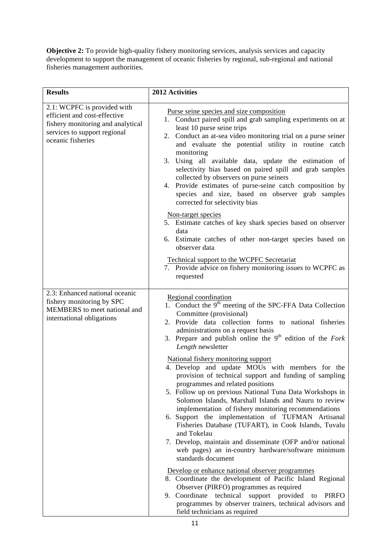**Objective 2:** To provide high-quality fishery monitoring services, analysis services and capacity development to support the management of oceanic fisheries by regional, sub-regional and national fisheries management authorities.

| <b>Results</b>                                                                                                                                        | 2012 Activities                                                                                                                                                                                                                                                                                                                                                                                                                                                                                                                                                                                                  |  |  |
|-------------------------------------------------------------------------------------------------------------------------------------------------------|------------------------------------------------------------------------------------------------------------------------------------------------------------------------------------------------------------------------------------------------------------------------------------------------------------------------------------------------------------------------------------------------------------------------------------------------------------------------------------------------------------------------------------------------------------------------------------------------------------------|--|--|
| 2.1: WCPFC is provided with<br>efficient and cost-effective<br>fishery monitoring and analytical<br>services to support regional<br>oceanic fisheries | Purse seine species and size composition<br>1. Conduct paired spill and grab sampling experiments on at<br>least 10 purse seine trips<br>2. Conduct an at-sea video monitoring trial on a purse seiner<br>and evaluate the potential utility in routine catch<br>monitoring<br>3. Using all available data, update the estimation of<br>selectivity bias based on paired spill and grab samples<br>collected by observers on purse seiners<br>Provide estimates of purse-seine catch composition by<br>4.<br>species and size, based on observer grab samples<br>corrected for selectivity bias                  |  |  |
|                                                                                                                                                       | Non-target species<br>5. Estimate catches of key shark species based on observer<br>data<br>6. Estimate catches of other non-target species based on<br>observer data                                                                                                                                                                                                                                                                                                                                                                                                                                            |  |  |
|                                                                                                                                                       | <b>Technical support to the WCPFC Secretariat</b><br>7. Provide advice on fishery monitoring issues to WCPFC as<br>requested                                                                                                                                                                                                                                                                                                                                                                                                                                                                                     |  |  |
| 2.3: Enhanced national oceanic<br>fishery monitoring by SPC<br>MEMBERS to meet national and<br>international obligations                              | Regional coordination<br>1. Conduct the 9 <sup>th</sup> meeting of the SPC-FFA Data Collection<br>Committee (provisional)<br>2. Provide data collection forms to national fisheries<br>administrations on a request basis<br>3. Prepare and publish online the $9th$ edition of the Fork<br>Length newsletter                                                                                                                                                                                                                                                                                                    |  |  |
|                                                                                                                                                       | National fishery monitoring support<br>4. Develop and update MOUs with members for the<br>provision of technical support and funding of sampling<br>programmes and related positions<br>5. Follow up on previous National Tuna Data Workshops in<br>Solomon Islands, Marshall Islands and Nauru to review<br>implementation of fishery monitoring recommendations<br>6. Support the implementation of TUFMAN Artisanal<br>Fisheries Database (TUFART), in Cook Islands, Tuvalu<br>and Tokelau<br>7. Develop, maintain and disseminate (OFP and/or national<br>web pages) an in-country hardware/software minimum |  |  |
|                                                                                                                                                       | standards document<br>Develop or enhance national observer programmes<br>8. Coordinate the development of Pacific Island Regional<br>Observer (PIRFO) programmes as required<br>9. Coordinate<br>technical<br>support provided<br><b>PIRFO</b><br>to<br>programmes by observer trainers, technical advisors and<br>field technicians as required                                                                                                                                                                                                                                                                 |  |  |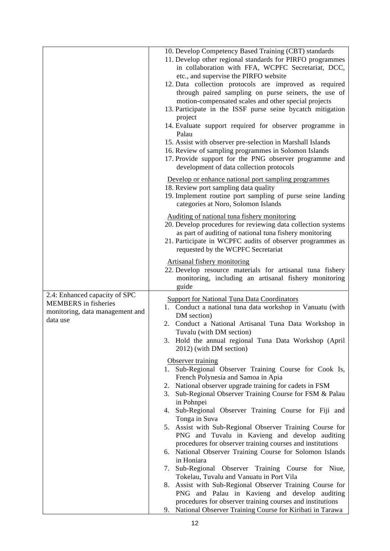|                                                                                                             | 10. Develop Competency Based Training (CBT) standards<br>11. Develop other regional standards for PIRFO programmes<br>in collaboration with FFA, WCPFC Secretariat, DCC,<br>etc., and supervise the PIRFO website<br>12. Data collection protocols are improved as required<br>through paired sampling on purse seiners, the use of<br>motion-compensated scales and other special projects<br>13. Participate in the ISSF purse seine bycatch mitigation<br>project<br>14. Evaluate support required for observer programme in<br>Palau<br>15. Assist with observer pre-selection in Marshall Islands<br>16. Review of sampling programmes in Solomon Islands<br>17. Provide support for the PNG observer programme and<br>development of data collection protocols                                                                                                                                                                                                                                                                                                                                                                                                                                                                                |
|-------------------------------------------------------------------------------------------------------------|-----------------------------------------------------------------------------------------------------------------------------------------------------------------------------------------------------------------------------------------------------------------------------------------------------------------------------------------------------------------------------------------------------------------------------------------------------------------------------------------------------------------------------------------------------------------------------------------------------------------------------------------------------------------------------------------------------------------------------------------------------------------------------------------------------------------------------------------------------------------------------------------------------------------------------------------------------------------------------------------------------------------------------------------------------------------------------------------------------------------------------------------------------------------------------------------------------------------------------------------------------|
|                                                                                                             | Develop or enhance national port sampling programmes<br>18. Review port sampling data quality<br>19. Implement routine port sampling of purse seine landing<br>categories at Noro, Solomon Islands                                                                                                                                                                                                                                                                                                                                                                                                                                                                                                                                                                                                                                                                                                                                                                                                                                                                                                                                                                                                                                                  |
|                                                                                                             | Auditing of national tuna fishery monitoring<br>20. Develop procedures for reviewing data collection systems<br>as part of auditing of national tuna fishery monitoring<br>21. Participate in WCPFC audits of observer programmes as<br>requested by the WCPFC Secretariat                                                                                                                                                                                                                                                                                                                                                                                                                                                                                                                                                                                                                                                                                                                                                                                                                                                                                                                                                                          |
|                                                                                                             | Artisanal fishery monitoring<br>22. Develop resource materials for artisanal tuna fishery<br>monitoring, including an artisanal fishery monitoring<br>guide                                                                                                                                                                                                                                                                                                                                                                                                                                                                                                                                                                                                                                                                                                                                                                                                                                                                                                                                                                                                                                                                                         |
| 2.4: Enhanced capacity of SPC<br><b>MEMBERS</b> in fisheries<br>monitoring, data management and<br>data use | <b>Support for National Tuna Data Coordinators</b><br>1. Conduct a national tuna data workshop in Vanuatu (with<br>DM section)<br>2. Conduct a National Artisanal Tuna Data Workshop in<br>Tuvalu (with DM section)<br>3. Hold the annual regional Tuna Data Workshop (April<br>2012) (with DM section)<br>Observer training<br>Sub-Regional Observer Training Course for Cook Is,<br>1.<br>French Polynesia and Samoa in Apia<br>2. National observer upgrade training for cadets in FSM<br>Sub-Regional Observer Training Course for FSM & Palau<br>3.<br>in Pohnpei<br>4. Sub-Regional Observer Training Course for Fiji and<br>Tonga in Suva<br>5. Assist with Sub-Regional Observer Training Course for<br>PNG and Tuvalu in Kavieng and develop auditing<br>procedures for observer training courses and institutions<br>6. National Observer Training Course for Solomon Islands<br>in Honiara<br>7. Sub-Regional Observer Training Course for Niue,<br>Tokelau, Tuvalu and Vanuatu in Port Vila<br>Assist with Sub-Regional Observer Training Course for<br>8.<br>PNG and Palau in Kavieng and develop auditing<br>procedures for observer training courses and institutions<br>9. National Observer Training Course for Kiribati in Tarawa |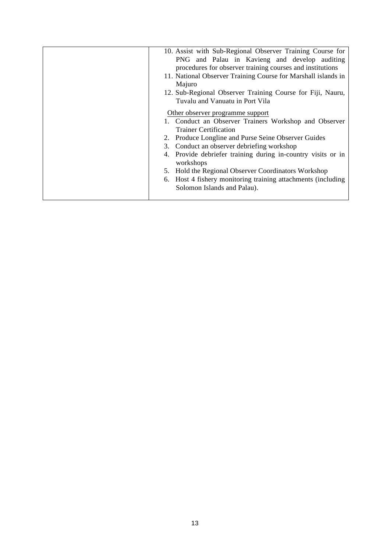| 10. Assist with Sub-Regional Observer Training Course for<br>PNG and Palau in Kavieng and develop auditing<br>procedures for observer training courses and institutions<br>11. National Observer Training Course for Marshall islands in<br>Majuro<br>12. Sub-Regional Observer Training Course for Fiji, Nauru,<br>Tuvalu and Vanuatu in Port Vila<br>Other observer programme support<br>1. Conduct an Observer Trainers Workshop and Observer<br><b>Trainer Certification</b><br>2. Produce Longline and Purse Seine Observer Guides<br>3. Conduct an observer debriefing workshop<br>4. Provide debriefer training during in-country visits or in<br>workshops<br>Hold the Regional Observer Coordinators Workshop<br>5.<br>Host 4 fishery monitoring training attachments (including<br>6.<br>Solomon Islands and Palau). |
|--------------------------------------------------------------------------------------------------------------------------------------------------------------------------------------------------------------------------------------------------------------------------------------------------------------------------------------------------------------------------------------------------------------------------------------------------------------------------------------------------------------------------------------------------------------------------------------------------------------------------------------------------------------------------------------------------------------------------------------------------------------------------------------------------------------------------------|
|                                                                                                                                                                                                                                                                                                                                                                                                                                                                                                                                                                                                                                                                                                                                                                                                                                |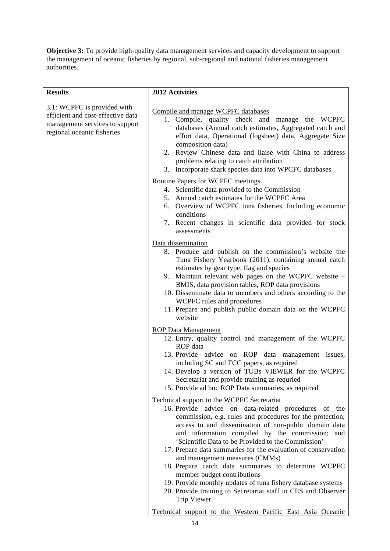**Objective 3:** To provide high-quality data management services and capacity development to support the management of oceanic fisheries by regional, sub-regional and national fisheries management authorities.

| <b>Results</b>                                                                                                                   | 2012 Activities                                                                                                                                                                                                                                                                                                                                                                                                                                                                                                                                                                                                                                                                                                                           |
|----------------------------------------------------------------------------------------------------------------------------------|-------------------------------------------------------------------------------------------------------------------------------------------------------------------------------------------------------------------------------------------------------------------------------------------------------------------------------------------------------------------------------------------------------------------------------------------------------------------------------------------------------------------------------------------------------------------------------------------------------------------------------------------------------------------------------------------------------------------------------------------|
| 3.1: WCPFC is provided with<br>efficient and cost-effective data<br>management services to support<br>regional oceanic fisheries | Compile and manage WCPFC databases<br>1. Compile, quality check and manage the WCPFC<br>databases (Annual catch estimates, Aggregated catch and<br>effort data, Operational (logsheet) data, Aggregate Size<br>composition data)<br>2. Review Chinese data and liaise with China to address<br>problems relating to catch attribution<br>3. Incorporate shark species data into WPCFC databases                                                                                                                                                                                                                                                                                                                                           |
|                                                                                                                                  | <b>Routine Papers for WCPFC meetings</b><br>4. Scientific data provided to the Commission<br>5. Annual catch estimates for the WCPFC Area<br>6. Overview of WCPFC tuna fisheries. Including economic<br>conditions<br>7. Recent changes in scientific data provided for stock<br>assessments                                                                                                                                                                                                                                                                                                                                                                                                                                              |
|                                                                                                                                  | Data dissemination<br>8. Produce and publish on the commission's website the<br>Tuna Fishery Yearbook (2011), containing annual catch<br>estimates by gear type, flag and species<br>9. Maintain relevant web pages on the WCPFC website -<br>BMIS, data provision tables, ROP data provisions<br>10. Disseminate data to members and others according to the<br>WCPFC rules and procedures<br>11. Prepare and publish public domain data on the WCPFC<br>website                                                                                                                                                                                                                                                                         |
|                                                                                                                                  | <b>ROP Data Management</b><br>12. Entry, quality control and management of the WCPFC<br>ROP data<br>13. Provide advice on ROP data management issues,<br>including SC and TCC papers, as required<br>14. Develop a version of TUBs VIEWER for the WCPFC<br>Secretariat and provide training as requried<br>15. Provide ad hoc ROP Data summaries, as required                                                                                                                                                                                                                                                                                                                                                                             |
|                                                                                                                                  | Technical support to the WCPFC Secretariat<br>16. Provide advice on data-related procedures of the<br>commission, e.g. rules and procedures for the protection,<br>access to and dissemination of non-public domain data<br>and information compiled by the commission; and<br>'Scientific Data to be Provided to the Commission'<br>17. Prepare data summaries for the evaluation of conservation<br>and management measures (CMMs)<br>18. Prepare catch data summaries to determine WCPFC<br>member budget contributions<br>19. Provide monthly updates of tuna fishery database systems<br>20. Provide training to Secretariat staff in CES and Observer<br>Trip Viewer.<br>Technical support to the Western Pacific East Asia Oceanic |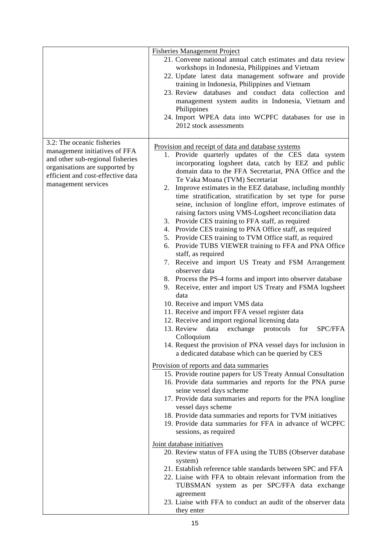|                                                                                                                                                                                               | <b>Fisheries Management Project</b><br>21. Convene national annual catch estimates and data review<br>workshops in Indonesia, Philippines and Vietnam<br>22. Update latest data management software and provide<br>training in Indonesia, Philippines and Vietnam<br>23. Review databases and conduct data collection and<br>management system audits in Indonesia, Vietnam and<br>Philippines<br>24. Import WPEA data into WCPFC databases for use in<br>2012 stock assessments                                                                                                                                                                                                                                                                                                                                                                                                                                                                                                                                                                                                                                                                                                                                                                                                                                                                                                                                                                                                                                                                                                                                                                                                                                                                                                                                                                                                                                                                                                                                                                                                                                                                                |
|-----------------------------------------------------------------------------------------------------------------------------------------------------------------------------------------------|-----------------------------------------------------------------------------------------------------------------------------------------------------------------------------------------------------------------------------------------------------------------------------------------------------------------------------------------------------------------------------------------------------------------------------------------------------------------------------------------------------------------------------------------------------------------------------------------------------------------------------------------------------------------------------------------------------------------------------------------------------------------------------------------------------------------------------------------------------------------------------------------------------------------------------------------------------------------------------------------------------------------------------------------------------------------------------------------------------------------------------------------------------------------------------------------------------------------------------------------------------------------------------------------------------------------------------------------------------------------------------------------------------------------------------------------------------------------------------------------------------------------------------------------------------------------------------------------------------------------------------------------------------------------------------------------------------------------------------------------------------------------------------------------------------------------------------------------------------------------------------------------------------------------------------------------------------------------------------------------------------------------------------------------------------------------------------------------------------------------------------------------------------------------|
| 3.2: The oceanic fisheries<br>management initiatives of FFA<br>and other sub-regional fisheries<br>organisations are supported by<br>efficient and cost-effective data<br>management services | Provision and receipt of data and database systems<br>1. Provide quarterly updates of the CES data system<br>incorporating logsheet data, catch by EEZ and public<br>domain data to the FFA Secretariat, PNA Office and the<br>Te Vaka Moana (TVM) Secretariat<br>Improve estimates in the EEZ database, including monthly<br>2.<br>time stratification, stratification by set type for purse<br>seine, inclusion of longline effort, improve estimates of<br>raising factors using VMS-Logsheet reconciliation data<br>3. Provide CES training to FFA staff, as required<br>4. Provide CES training to PNA Office staff, as required<br>5. Provide CES training to TVM Office staff, as required<br>6. Provide TUBS VIEWER training to FFA and PNA Office<br>staff, as required<br>7. Receive and import US Treaty and FSM Arrangement<br>observer data<br>8. Process the PS-4 forms and import into observer database<br>9. Receive, enter and import US Treaty and FSMA logsheet<br>data<br>10. Receive and import VMS data<br>11. Receive and import FFA vessel register data<br>12. Receive and import regional licensing data<br>13. Review<br>data<br>exchange<br>protocols<br>SPC/FFA<br>for<br>Colloquium<br>14. Request the provision of PNA vessel days for inclusion in<br>a dedicated database which can be queried by CES<br>Provision of reports and data summaries<br>15. Provide routine papers for US Treaty Annual Consultation<br>16. Provide data summaries and reports for the PNA purse<br>seine vessel days scheme<br>17. Provide data summaries and reports for the PNA longline<br>vessel days scheme<br>18. Provide data summaries and reports for TVM initiatives<br>19. Provide data summaries for FFA in advance of WCPFC<br>sessions, as required<br>Joint database initiatives<br>20. Review status of FFA using the TUBS (Observer database<br>system)<br>21. Establish reference table standards between SPC and FFA<br>22. Liaise with FFA to obtain relevant information from the<br>TUBSMAN system as per SPC/FFA data exchange<br>agreement<br>23. Liaise with FFA to conduct an audit of the observer data<br>they enter |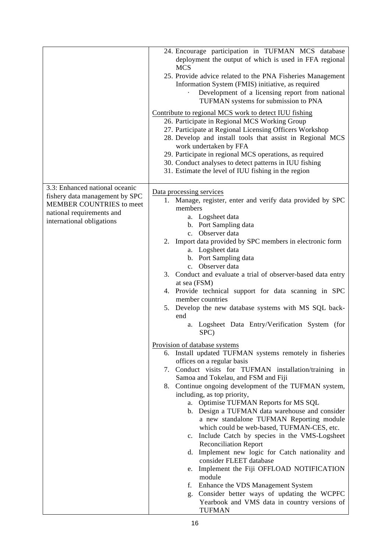|                                                                                                                                                        | 24. Encourage participation in TUFMAN MCS database<br>deployment the output of which is used in FFA regional<br><b>MCS</b><br>25. Provide advice related to the PNA Fisheries Management<br>Information System (FMIS) initiative, as required<br>Development of a licensing report from national<br>TUFMAN systems for submission to PNA<br>Contribute to regional MCS work to detect IUU fishing<br>26. Participate in Regional MCS Working Group<br>27. Participate at Regional Licensing Officers Workshop<br>28. Develop and install tools that assist in Regional MCS<br>work undertaken by FFA<br>29. Participate in regional MCS operations, as required<br>30. Conduct analyses to detect patterns in IUU fishing<br>31. Estimate the level of IUU fishing in the region                                                                                                                                                                                                                                                                                                                                                                                                                                                                                                                                                                                                                                                                                                             |
|--------------------------------------------------------------------------------------------------------------------------------------------------------|----------------------------------------------------------------------------------------------------------------------------------------------------------------------------------------------------------------------------------------------------------------------------------------------------------------------------------------------------------------------------------------------------------------------------------------------------------------------------------------------------------------------------------------------------------------------------------------------------------------------------------------------------------------------------------------------------------------------------------------------------------------------------------------------------------------------------------------------------------------------------------------------------------------------------------------------------------------------------------------------------------------------------------------------------------------------------------------------------------------------------------------------------------------------------------------------------------------------------------------------------------------------------------------------------------------------------------------------------------------------------------------------------------------------------------------------------------------------------------------------|
| 3.3: Enhanced national oceanic<br>fishery data management by SPC<br>MEMBER COUNTRIES to meet<br>national requirements and<br>international obligations | Data processing services<br>1. Manage, register, enter and verify data provided by SPC<br>members<br>a. Logsheet data<br>b. Port Sampling data<br>c. Observer data<br>2. Import data provided by SPC members in electronic form<br>a. Logsheet data<br>b. Port Sampling data<br>c. Observer data<br>3. Conduct and evaluate a trial of observer-based data entry<br>at sea (FSM)<br>4. Provide technical support for data scanning in SPC<br>member countries<br>5. Develop the new database systems with MS SQL back-<br>end<br>a. Logsheet Data Entry/Verification System (for<br>SPC)<br>Provision of database systems<br>6. Install updated TUFMAN systems remotely in fisheries<br>offices on a regular basis<br>7. Conduct visits for TUFMAN installation/training in<br>Samoa and Tokelau, and FSM and Fiji<br>8. Continue ongoing development of the TUFMAN system,<br>including, as top priority,<br>a. Optimise TUFMAN Reports for MS SQL<br>b. Design a TUFMAN data warehouse and consider<br>a new standalone TUFMAN Reporting module<br>which could be web-based, TUFMAN-CES, etc.<br>c. Include Catch by species in the VMS-Logsheet<br><b>Reconciliation Report</b><br>d. Implement new logic for Catch nationality and<br>consider FLEET database<br>Implement the Fiji OFFLOAD NOTIFICATION<br>e.<br>module<br>Enhance the VDS Management System<br>f.<br>Consider better ways of updating the WCPFC<br>g.<br>Yearbook and VMS data in country versions of<br><b>TUFMAN</b> |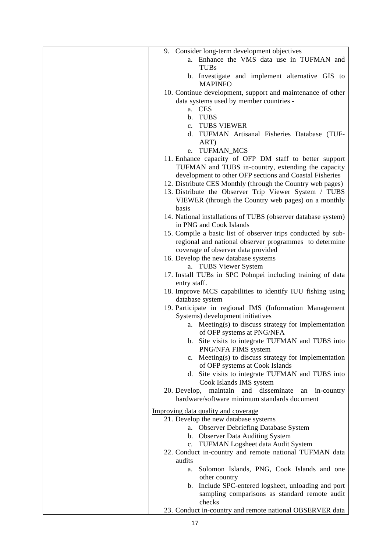| 9. Consider long-term development objectives<br>a. Enhance the VMS data use in TUFMAN and                    |
|--------------------------------------------------------------------------------------------------------------|
| <b>TUBs</b>                                                                                                  |
| b. Investigate and implement alternative GIS to<br><b>MAPINFO</b>                                            |
| 10. Continue development, support and maintenance of other                                                   |
| data systems used by member countries -<br>a. CES                                                            |
| b. TUBS                                                                                                      |
| c. TUBS VIEWER                                                                                               |
| d. TUFMAN Artisanal Fisheries Database (TUF-                                                                 |
| ART)                                                                                                         |
| e. TUFMAN_MCS                                                                                                |
| 11. Enhance capacity of OFP DM staff to better support<br>TUFMAN and TUBS in-country, extending the capacity |
| development to other OFP sections and Coastal Fisheries                                                      |
| 12. Distribute CES Monthly (through the Country web pages)                                                   |
| 13. Distribute the Observer Trip Viewer System / TUBS                                                        |
| VIEWER (through the Country web pages) on a monthly                                                          |
| basis<br>14. National installations of TUBS (observer database system)                                       |
| in PNG and Cook Islands                                                                                      |
| 15. Compile a basic list of observer trips conducted by sub-                                                 |
| regional and national observer programmes to determine                                                       |
| coverage of observer data provided                                                                           |
| 16. Develop the new database systems                                                                         |
| a. TUBS Viewer System<br>17. Install TUBs in SPC Pohnpei including training of data                          |
| entry staff.                                                                                                 |
| 18. Improve MCS capabilities to identify IUU fishing using                                                   |
| database system                                                                                              |
| 19. Participate in regional IMS (Information Management                                                      |
| Systems) development initiatives<br>a. Meeting(s) to discuss strategy for implementation                     |
| of OFP systems at PNG/NFA                                                                                    |
| b. Site visits to integrate TUFMAN and TUBS into                                                             |
| PNG/NFA FIMS system                                                                                          |
| Meeting(s) to discuss strategy for implementation<br>$c_{\cdot}$                                             |
| of OFP systems at Cook Islands<br>d. Site visits to integrate TUFMAN and TUBS into                           |
| Cook Islands IMS system                                                                                      |
| maintain and disseminate<br>20. Develop,<br>an in-country                                                    |
| hardware/software minimum standards document                                                                 |
| Improving data quality and coverage                                                                          |
| 21. Develop the new database systems                                                                         |
| a. Observer Debriefing Database System                                                                       |
| b. Observer Data Auditing System<br>c. TUFMAN Logsheet data Audit System                                     |
| 22. Conduct in-country and remote national TUFMAN data                                                       |
| audits                                                                                                       |
| Solomon Islands, PNG, Cook Islands and one<br>а.                                                             |
| other country                                                                                                |
| b. Include SPC-entered logsheet, unloading and port<br>sampling comparisons as standard remote audit         |
| checks                                                                                                       |
| 23. Conduct in-country and remote national OBSERVER data                                                     |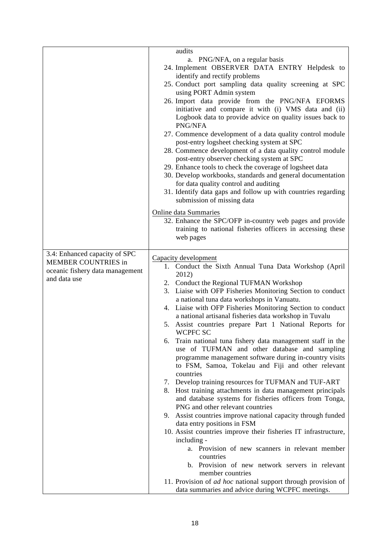|                                                                                                                | audits<br>a. PNG/NFA, on a regular basis<br>24. Implement OBSERVER DATA ENTRY Helpdesk to<br>identify and rectify problems<br>25. Conduct port sampling data quality screening at SPC<br>using PORT Admin system<br>26. Import data provide from the PNG/NFA EFORMS<br>initiative and compare it with (i) VMS data and (ii)<br>Logbook data to provide advice on quality issues back to<br>PNG/NFA<br>27. Commence development of a data quality control module<br>post-entry logsheet checking system at SPC<br>28. Commence development of a data quality control module<br>post-entry observer checking system at SPC<br>29. Enhance tools to check the coverage of logsheet data<br>30. Develop workbooks, standards and general documentation<br>for data quality control and auditing<br>31. Identify data gaps and follow up with countries regarding<br>submission of missing data<br>Online data Summaries<br>32. Enhance the SPC/OFP in-country web pages and provide<br>training to national fisheries officers in accessing these<br>web pages                                                                                                                                                                                                                                                                                                            |
|----------------------------------------------------------------------------------------------------------------|-----------------------------------------------------------------------------------------------------------------------------------------------------------------------------------------------------------------------------------------------------------------------------------------------------------------------------------------------------------------------------------------------------------------------------------------------------------------------------------------------------------------------------------------------------------------------------------------------------------------------------------------------------------------------------------------------------------------------------------------------------------------------------------------------------------------------------------------------------------------------------------------------------------------------------------------------------------------------------------------------------------------------------------------------------------------------------------------------------------------------------------------------------------------------------------------------------------------------------------------------------------------------------------------------------------------------------------------------------------------------|
| 3.4: Enhanced capacity of SPC<br><b>MEMBER COUNTRIES in</b><br>oceanic fishery data management<br>and data use | Capacity development<br>1. Conduct the Sixth Annual Tuna Data Workshop (April<br>2012)<br>2. Conduct the Regional TUFMAN Workshop<br>3. Liaise with OFP Fisheries Monitoring Section to conduct<br>a national tuna data workshops in Vanuatu.<br>4. Liaise with OFP Fisheries Monitoring Section to conduct<br>a national artisanal fisheries data workshop in Tuvalu<br>5. Assist countries prepare Part 1 National Reports for<br>WCPFC SC<br>Train national tuna fishery data management staff in the<br>6.<br>use of TUFMAN and other database and sampling<br>programme management software during in-country visits<br>to FSM, Samoa, Tokelau and Fiji and other relevant<br>countries<br>7. Develop training resources for TUFMAN and TUF-ART<br>8. Host training attachments in data management principals<br>and database systems for fisheries officers from Tonga,<br>PNG and other relevant countries<br>9. Assist countries improve national capacity through funded<br>data entry positions in FSM<br>10. Assist countries improve their fisheries IT infrastructure,<br>including -<br>a. Provision of new scanners in relevant member<br>countries<br>b. Provision of new network servers in relevant<br>member countries<br>11. Provision of <i>ad hoc</i> national support through provision of<br>data summaries and advice during WCPFC meetings. |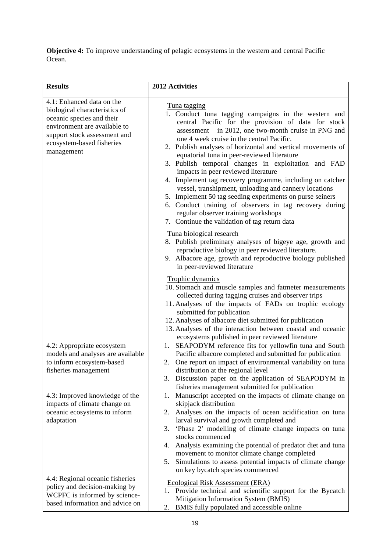**Objective 4:** To improve understanding of pelagic ecosystems in the western and central Pacific Ocean.

| <b>Results</b>                                                                                                                                                                                     | 2012 Activities                                                                                                                                                                                                                                                                                                                                                                                                                                                                                                                                                                                                                                                                                                                                                                                                                                                                                                                                                                                  |
|----------------------------------------------------------------------------------------------------------------------------------------------------------------------------------------------------|--------------------------------------------------------------------------------------------------------------------------------------------------------------------------------------------------------------------------------------------------------------------------------------------------------------------------------------------------------------------------------------------------------------------------------------------------------------------------------------------------------------------------------------------------------------------------------------------------------------------------------------------------------------------------------------------------------------------------------------------------------------------------------------------------------------------------------------------------------------------------------------------------------------------------------------------------------------------------------------------------|
| 4.1: Enhanced data on the<br>biological characteristics of<br>oceanic species and their<br>environment are available to<br>support stock assessment and<br>ecosystem-based fisheries<br>management | Tuna tagging<br>1. Conduct tuna tagging campaigns in the western and<br>central Pacific for the provision of data for stock<br>assessment $-$ in 2012, one two-month cruise in PNG and<br>one 4 week cruise in the central Pacific.<br>2. Publish analyses of horizontal and vertical movements of<br>equatorial tuna in peer-reviewed literature<br>3. Publish temporal changes in exploitation and FAD<br>impacts in peer reviewed literature<br>4. Implement tag recovery programme, including on catcher<br>vessel, transhipment, unloading and cannery locations<br>5. Implement 50 tag seeding experiments on purse seiners<br>6. Conduct training of observers in tag recovery during<br>regular observer training workshops<br>7. Continue the validation of tag return data<br>Tuna biological research<br>8. Publish preliminary analyses of bigeye age, growth and<br>reproductive biology in peer reviewed literature.<br>9. Albacore age, growth and reproductive biology published |
| 4.2: Appropriate ecosystem<br>models and analyses are available<br>to inform ecosystem-based<br>fisheries management                                                                               | in peer-reviewed literature<br>Trophic dynamics<br>10. Stomach and muscle samples and fatmeter measurements<br>collected during tagging cruises and observer trips<br>11. Analyses of the impacts of FADs on trophic ecology<br>submitted for publication<br>12. Analyses of albacore diet submitted for publication<br>13. Analyses of the interaction between coastal and oceanic<br>ecosystems published in peer reviewed literature<br>SEAPODYM reference fits for yellowfin tuna and South<br>1.<br>Pacific albacore completed and submitted for publication<br>One report on impact of environmental variability on tuna<br>2.<br>distribution at the regional level                                                                                                                                                                                                                                                                                                                       |
| 4.3: Improved knowledge of the<br>impacts of climate change on<br>oceanic ecosystems to inform<br>adaptation<br>4.4: Regional oceanic fisheries                                                    | Discussion paper on the application of SEAPODYM in<br>3.<br>fisheries management submitted for publication<br>Manuscript accepted on the impacts of climate change on<br>1.<br>skipjack distribution<br>Analyses on the impacts of ocean acidification on tuna<br>2.<br>larval survival and growth completed and<br>'Phase 2' modelling of climate change impacts on tuna<br>3.<br>stocks commenced<br>Analysis examining the potential of predator diet and tuna<br>4.<br>movement to monitor climate change completed<br>Simulations to assess potential impacts of climate change<br>5.<br>on key bycatch species commenced                                                                                                                                                                                                                                                                                                                                                                   |
| policy and decision-making by<br>WCPFC is informed by science-<br>based information and advice on                                                                                                  | <b>Ecological Risk Assessment (ERA)</b><br>1. Provide technical and scientific support for the Bycatch<br>Mitigation Information System (BMIS)<br>BMIS fully populated and accessible online<br>2.                                                                                                                                                                                                                                                                                                                                                                                                                                                                                                                                                                                                                                                                                                                                                                                               |